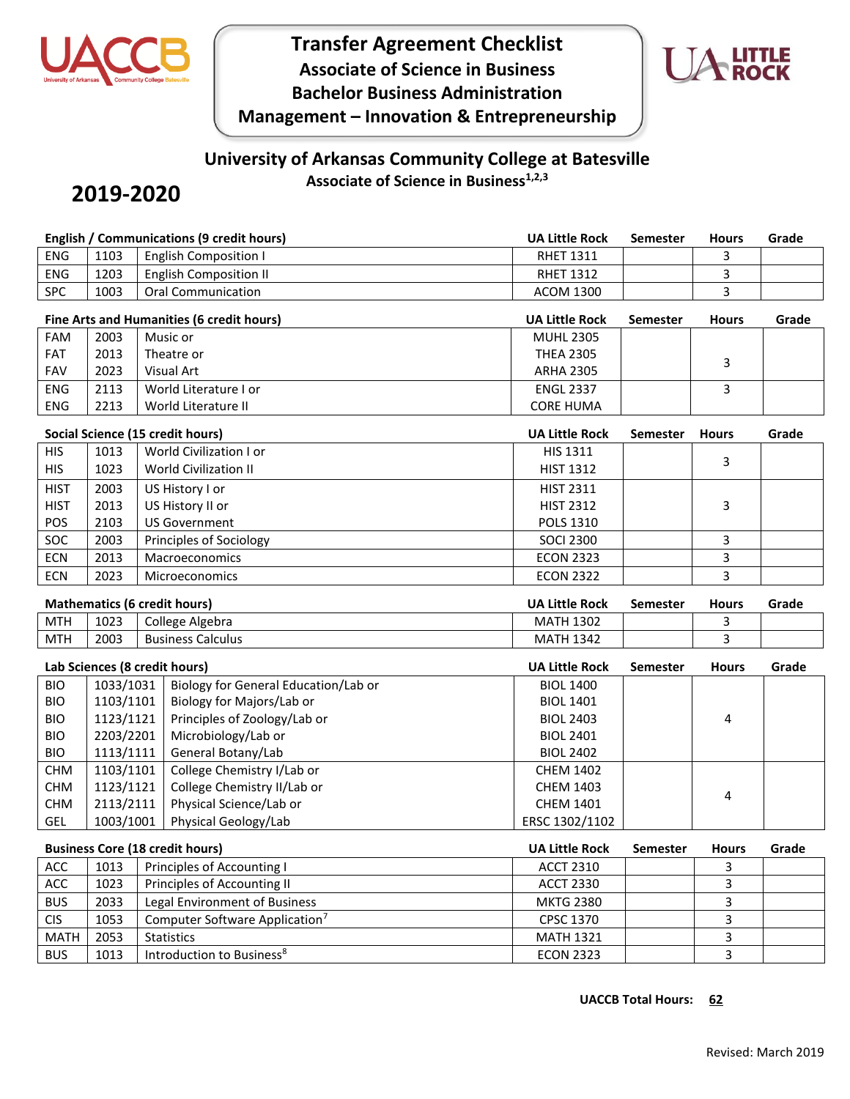



## **University of Arkansas Community College at Batesville Associate of Science in Business1,2,3**

## **2019-2020**

|             |                                     | <b>English / Communications (9 credit hours)</b> | <b>UA Little Rock</b> | <b>Semester</b> | <b>Hours</b> | Grade |
|-------------|-------------------------------------|--------------------------------------------------|-----------------------|-----------------|--------------|-------|
| <b>ENG</b>  | 1103                                | <b>English Composition I</b>                     | <b>RHET 1311</b>      |                 | 3            |       |
| <b>ENG</b>  | 1203                                | <b>English Composition II</b>                    | <b>RHET 1312</b>      |                 | 3            |       |
| SPC         | 1003                                | <b>Oral Communication</b>                        | <b>ACOM 1300</b>      |                 | 3            |       |
|             |                                     | Fine Arts and Humanities (6 credit hours)        | <b>UA Little Rock</b> | <b>Semester</b> | <b>Hours</b> | Grade |
| <b>FAM</b>  | 2003                                | Music or                                         | <b>MUHL 2305</b>      |                 |              |       |
| <b>FAT</b>  | 2013                                | Theatre or                                       | <b>THEA 2305</b>      |                 | 3            |       |
| <b>FAV</b>  | 2023                                | <b>Visual Art</b>                                | <b>ARHA 2305</b>      |                 |              |       |
| <b>ENG</b>  | 2113                                | World Literature I or                            | <b>ENGL 2337</b>      |                 | 3            |       |
| <b>ENG</b>  | 2213                                | World Literature II                              | <b>CORE HUMA</b>      |                 |              |       |
|             |                                     | Social Science (15 credit hours)                 | <b>UA Little Rock</b> | <b>Semester</b> | <b>Hours</b> | Grade |
| <b>HIS</b>  | 1013                                | World Civilization I or                          | HIS 1311              |                 |              |       |
| <b>HIS</b>  | 1023                                | <b>World Civilization II</b>                     | <b>HIST 1312</b>      |                 | 3            |       |
| <b>HIST</b> | 2003                                | US History I or                                  | <b>HIST 2311</b>      |                 |              |       |
| <b>HIST</b> | 2013                                | US History II or                                 | <b>HIST 2312</b>      |                 | 3            |       |
| POS         | 2103                                | <b>US Government</b>                             | POLS 1310             |                 |              |       |
| SOC         | 2003                                | Principles of Sociology                          | <b>SOCI 2300</b>      |                 | 3            |       |
| ECN         | 2013                                | Macroeconomics                                   | <b>ECON 2323</b>      |                 | 3            |       |
| <b>ECN</b>  | 2023                                | <b>Microeconomics</b>                            | <b>ECON 2322</b>      |                 | 3            |       |
|             |                                     |                                                  |                       |                 |              |       |
|             | <b>Mathematics (6 credit hours)</b> |                                                  | UA Little Rock        | <b>Semester</b> | <b>Hours</b> | Grade |
| <b>MTH</b>  | 1023                                | College Algebra                                  | <b>MATH 1302</b>      |                 | 3            |       |
| <b>MTH</b>  | 2003                                | <b>Business Calculus</b>                         | <b>MATH 1342</b>      |                 | 3            |       |
|             | Lab Sciences (8 credit hours)       |                                                  | <b>UA Little Rock</b> | <b>Semester</b> | <b>Hours</b> | Grade |
| <b>BIO</b>  | 1033/1031                           | Biology for General Education/Lab or             | <b>BIOL 1400</b>      |                 |              |       |
| <b>BIO</b>  | 1103/1101                           | Biology for Majors/Lab or                        | <b>BIOL 1401</b>      |                 |              |       |
| <b>BIO</b>  | 1123/1121                           | Principles of Zoology/Lab or                     | <b>BIOL 2403</b>      |                 | 4            |       |
| <b>BIO</b>  | 2203/2201                           | Microbiology/Lab or                              | <b>BIOL 2401</b>      |                 |              |       |
| <b>BIO</b>  | 1113/1111                           | General Botany/Lab                               | <b>BIOL 2402</b>      |                 |              |       |
| <b>CHM</b>  | 1103/1101                           | College Chemistry I/Lab or                       | <b>CHEM 1402</b>      |                 |              |       |
| <b>CHM</b>  | 1123/1121                           | College Chemistry II/Lab or                      | <b>CHEM 1403</b>      |                 |              |       |
| <b>CHM</b>  | 2113/2111                           | Physical Science/Lab or                          | CHEM 1401             |                 | 4            |       |
| GEL         | 1003/1001                           | Physical Geology/Lab                             | ERSC 1302/1102        |                 |              |       |
|             |                                     | <b>Business Core (18 credit hours)</b>           | <b>UA Little Rock</b> | <b>Semester</b> | <b>Hours</b> | Grade |
| ACC         | 1013                                | Principles of Accounting I                       | <b>ACCT 2310</b>      |                 | 3            |       |
| ACC         | 1023                                | Principles of Accounting II                      | <b>ACCT 2330</b>      |                 | 3            |       |
| <b>BUS</b>  | 2033                                | Legal Environment of Business                    | <b>MKTG 2380</b>      |                 | 3            |       |
| <b>CIS</b>  | 1053                                | Computer Software Application <sup>7</sup>       | CPSC 1370             |                 | 3            |       |

BUS 1013 Introduction to Business<sup>8</sup> exercise the contract of the ECON 2323 and the state of the state of the state of the state of the state of the state of the state of the state of the state of the state of the state of

**UACCB Total Hours: 62**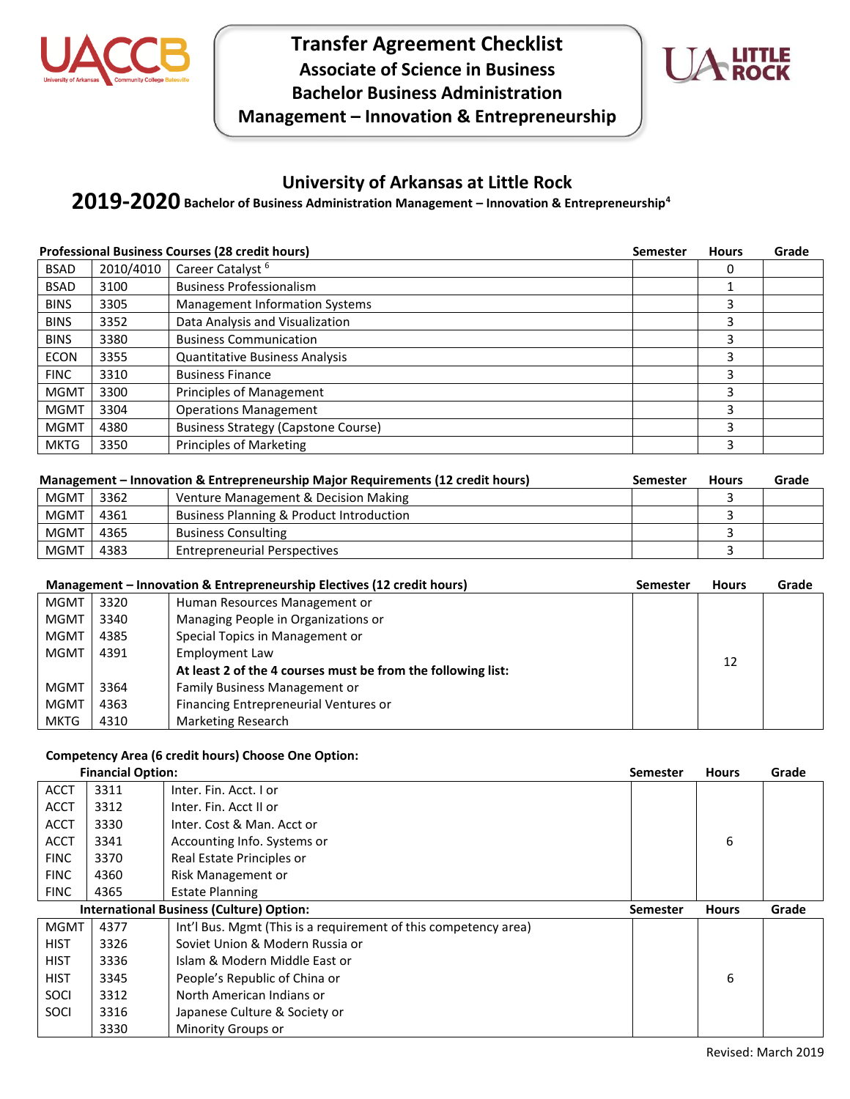



### **University of Arkansas at Little Rock**

## **Bachelor of Business Administration Management – Innovation & Entrepreneurship<sup>4</sup> 2019-2020**

|             |           | <b>Professional Business Courses (28 credit hours)</b> | <b>Semester</b> | <b>Hours</b> | Grade |
|-------------|-----------|--------------------------------------------------------|-----------------|--------------|-------|
| <b>BSAD</b> | 2010/4010 | Career Catalyst <sup>6</sup>                           |                 | 0            |       |
| <b>BSAD</b> | 3100      | <b>Business Professionalism</b>                        |                 |              |       |
| <b>BINS</b> | 3305      | <b>Management Information Systems</b>                  |                 | 3            |       |
| <b>BINS</b> | 3352      | Data Analysis and Visualization                        |                 | 3            |       |
| <b>BINS</b> | 3380      | <b>Business Communication</b>                          |                 | 3            |       |
| <b>ECON</b> | 3355      | <b>Quantitative Business Analysis</b>                  |                 |              |       |
| <b>FINC</b> | 3310      | <b>Business Finance</b>                                |                 | 3            |       |
| <b>MGMT</b> | 3300      | Principles of Management                               |                 | 3            |       |
| <b>MGMT</b> | 3304      | <b>Operations Management</b>                           |                 | 3            |       |
| <b>MGMT</b> | 4380      | <b>Business Strategy (Capstone Course)</b>             |                 | 3            |       |
| <b>MKTG</b> | 3350      | <b>Principles of Marketing</b>                         |                 | 3            |       |

|             |      | Management – Innovation & Entrepreneurship Major Requirements (12 credit hours) | Semester | <b>Hours</b> | Grade |
|-------------|------|---------------------------------------------------------------------------------|----------|--------------|-------|
| <b>MGMT</b> | 3362 | Venture Management & Decision Making                                            |          |              |       |
| <b>MGMT</b> | 4361 | Business Planning & Product Introduction                                        |          |              |       |
| <b>MGMT</b> | 4365 | <b>Business Consulting</b>                                                      |          |              |       |
| <b>MGMT</b> | 4383 | <b>Entrepreneurial Perspectives</b>                                             |          |              |       |

|             |      | Management – Innovation & Entrepreneurship Electives (12 credit hours) | Semester | <b>Hours</b> | Grade |
|-------------|------|------------------------------------------------------------------------|----------|--------------|-------|
| <b>MGMT</b> | 3320 | Human Resources Management or                                          |          |              |       |
| <b>MGMT</b> | 3340 | Managing People in Organizations or                                    |          |              |       |
| <b>MGMT</b> | 4385 | Special Topics in Management or                                        |          |              |       |
| <b>MGMT</b> | 4391 | <b>Employment Law</b>                                                  |          |              |       |
|             |      | At least 2 of the 4 courses must be from the following list:           |          | 12           |       |
| MGMT        | 3364 | Family Business Management or                                          |          |              |       |
| <b>MGMT</b> | 4363 | Financing Entrepreneurial Ventures or                                  |          |              |       |
| <b>MKTG</b> | 4310 | <b>Marketing Research</b>                                              |          |              |       |

# **Competency Area (6 credit hours) Choose One Option:**

| <b>Financial Option:</b> |      |                                                                 | <b>Semester</b> | <b>Hours</b> | Grade |
|--------------------------|------|-----------------------------------------------------------------|-----------------|--------------|-------|
| <b>ACCT</b>              | 3311 | Inter. Fin. Acct. I or                                          |                 |              |       |
| <b>ACCT</b>              | 3312 | Inter. Fin. Acct II or                                          |                 |              |       |
| <b>ACCT</b>              | 3330 | Inter. Cost & Man. Acct or                                      |                 |              |       |
| <b>ACCT</b>              | 3341 | Accounting Info. Systems or                                     |                 | 6            |       |
| <b>FINC</b>              | 3370 | Real Estate Principles or                                       |                 |              |       |
| <b>FINC</b>              | 4360 | Risk Management or                                              |                 |              |       |
| <b>FINC</b>              | 4365 | <b>Estate Planning</b>                                          |                 |              |       |
|                          |      | <b>International Business (Culture) Option:</b>                 | <b>Semester</b> | <b>Hours</b> | Grade |
| <b>MGMT</b>              | 4377 | Int'l Bus. Mgmt (This is a requirement of this competency area) |                 |              |       |
| <b>HIST</b>              | 3326 | Soviet Union & Modern Russia or                                 |                 |              |       |
| <b>HIST</b>              | 3336 | Islam & Modern Middle East or                                   |                 |              |       |
| <b>HIST</b>              | 3345 | People's Republic of China or                                   |                 | 6            |       |
| SOCI                     | 3312 | North American Indians or                                       |                 |              |       |
| SOCI                     | 3316 | Japanese Culture & Society or                                   |                 |              |       |
|                          | 3330 | Minority Groups or                                              |                 |              |       |